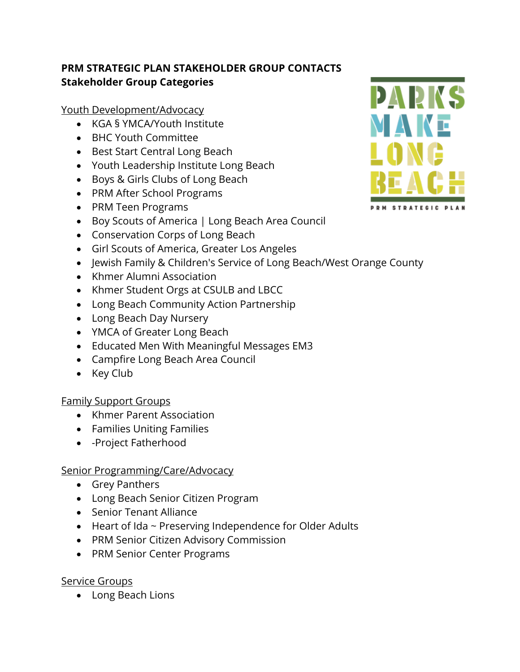# **PRM STRATEGIC PLAN STAKEHOLDER GROUP CONTACTS Stakeholder Group Categories**

Youth Development/Advocacy

- KGA § YMCA/Youth Institute
- BHC Youth Committee
- Best Start Central Long Beach
- Youth Leadership Institute Long Beach
- Boys & Girls Clubs of Long Beach
- PRM After School Programs
- PRM Teen Programs
- Boy Scouts of America | Long Beach Area Council
- Conservation Corps of Long Beach
- Girl Scouts of America, Greater Los Angeles
- Jewish Family & Children's Service of Long Beach/West Orange County
- Khmer Alumni Association
- Khmer Student Orgs at CSULB and LBCC
- Long Beach Community Action Partnership
- Long Beach Day Nursery
- YMCA of Greater Long Beach
- Educated Men With Meaningful Messages EM3
- Campfire Long Beach Area Council
- Key Club

## Family Support Groups

- Khmer Parent Association
- Families Uniting Families
- - Project Fatherhood

## Senior Programming/Care/Advocacy

- Grey Panthers
- Long Beach Senior Citizen Program
- Senior Tenant Alliance
- Heart of Ida ~ Preserving Independence for Older Adults
- PRM Senior Citizen Advisory Commission
- PRM Senior Center Programs

## Service Groups

• Long Beach Lions

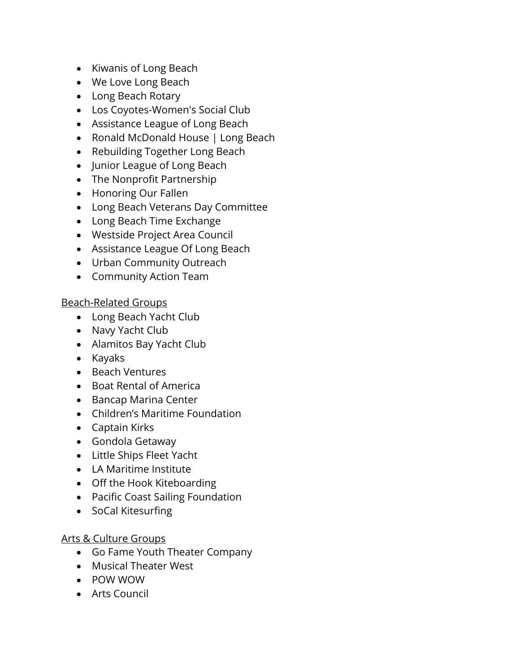- Kiwanis of Long Beach
- We Love Long Beach
- Long Beach Rotary
- Los Coyotes-Women's Social Club
- Assistance League of Long Beach
- Ronald McDonald House | Long Beach
- Rebuilding Together Long Beach
- Junior League of Long Beach
- The Nonprofit Partnership
- Honoring Our Fallen
- Long Beach Veterans Day Committee
- Long Beach Time Exchange
- Westside Project Area Council
- Assistance League Of Long Beach
- Urban Community Outreach
- Community Action Team

## Beach-Related Groups

- Long Beach Yacht Club
- Navy Yacht Club
- Alamitos Bay Yacht Club
- Kayaks
- Beach Ventures
- Boat Rental of America
- Bancap Marina Center
- Children's Maritime Foundation
- Captain Kirks
- Gondola Getaway
- Little Ships Fleet Yacht
- LA Maritime Institute
- Off the Hook Kiteboarding
- Pacific Coast Sailing Foundation
- SoCal Kitesurfing

## Arts & Culture Groups

- Go Fame Youth Theater Company
- Musical Theater West
- POW WOW
- Arts Council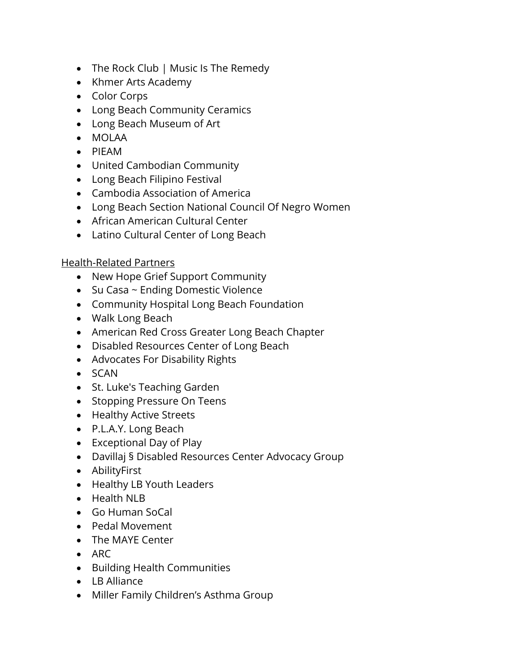- The Rock Club | Music Is The Remedy
- Khmer Arts Academy
- Color Corps
- Long Beach Community Ceramics
- Long Beach Museum of Art
- MOLAA
- PIEAM
- United Cambodian Community
- Long Beach Filipino Festival
- Cambodia Association of America
- Long Beach Section National Council Of Negro Women
- African American Cultural Center
- Latino Cultural Center of Long Beach

Health-Related Partners

- New Hope Grief Support Community
- Su Casa ~ Ending Domestic Violence
- Community Hospital Long Beach Foundation
- Walk Long Beach
- American Red Cross Greater Long Beach Chapter
- Disabled Resources Center of Long Beach
- Advocates For Disability Rights
- SCAN
- St. Luke's Teaching Garden
- Stopping Pressure On Teens
- Healthy Active Streets
- P.L.A.Y. Long Beach
- Exceptional Day of Play
- Davillaj § Disabled Resources Center Advocacy Group
- AbilityFirst
- Healthy LB Youth Leaders
- Health NLB
- Go Human SoCal
- Pedal Movement
- The MAYE Center
- ARC
- Building Health Communities
- LB Alliance
- Miller Family Children's Asthma Group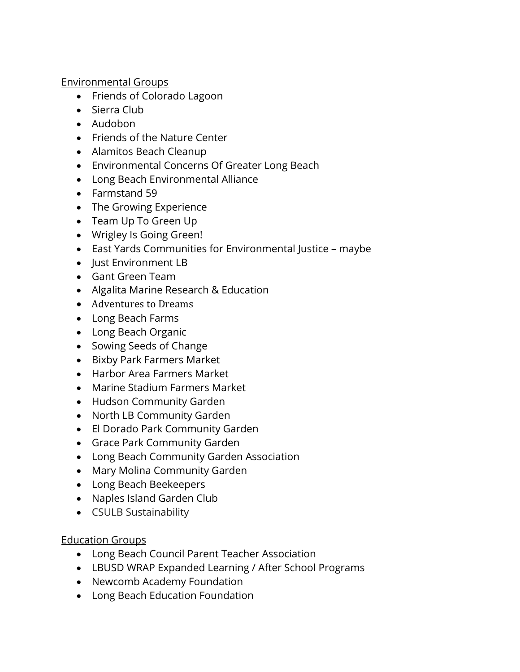Environmental Groups

- Friends of Colorado Lagoon
- Sierra Club
- Audobon
- Friends of the Nature Center
- Alamitos Beach Cleanup
- Environmental Concerns Of Greater Long Beach
- Long Beach Environmental Alliance
- Farmstand 59
- The Growing Experience
- Team Up To Green Up
- Wrigley Is Going Green!
- East Yards Communities for Environmental Justice maybe
- Just Environment LB
- Gant Green Team
- Algalita Marine Research & Education
- Adventures to Dreams
- Long Beach Farms
- Long Beach Organic
- Sowing Seeds of Change
- Bixby Park Farmers Market
- Harbor Area Farmers Market
- Marine Stadium Farmers Market
- Hudson Community Garden
- North LB Community Garden
- El Dorado Park Community Garden
- Grace Park Community Garden
- Long Beach Community Garden Association
- Mary Molina Community Garden
- Long Beach Beekeepers
- Naples Island Garden Club
- CSULB Sustainability

## Education Groups

- Long Beach Council Parent Teacher Association
- LBUSD WRAP Expanded Learning / After School Programs
- Newcomb Academy Foundation
- Long Beach Education Foundation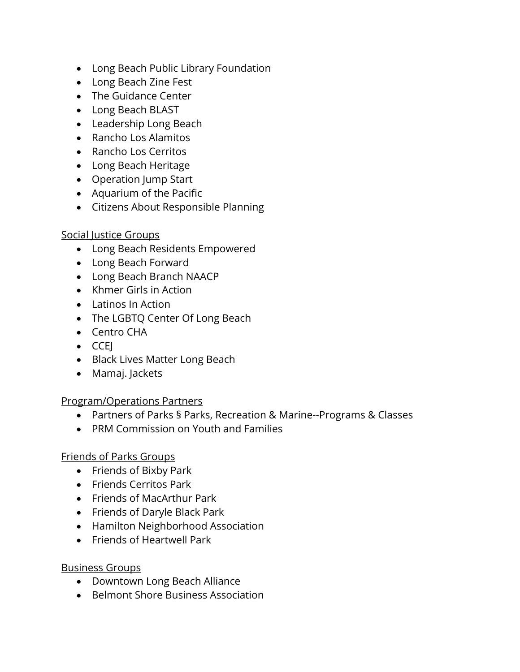- Long Beach Public Library Foundation
- Long Beach Zine Fest
- The Guidance Center
- Long Beach BLAST
- Leadership Long Beach
- Rancho Los Alamitos
- Rancho Los Cerritos
- Long Beach Heritage
- Operation Jump Start
- Aquarium of the Pacific
- Citizens About Responsible Planning

## Social Justice Groups

- Long Beach Residents Empowered
- Long Beach Forward
- Long Beach Branch NAACP
- Khmer Girls in Action
- Latinos In Action
- The LGBTQ Center Of Long Beach
- Centro CHA
- CCEJ
- Black Lives Matter Long Beach
- Mamaj. Jackets

## Program/Operations Partners

- Partners of Parks § Parks, Recreation & Marine--Programs & Classes
- PRM Commission on Youth and Families

## Friends of Parks Groups

- Friends of Bixby Park
- Friends Cerritos Park
- Friends of MacArthur Park
- Friends of Daryle Black Park
- Hamilton Neighborhood Association
- Friends of Heartwell Park

## Business Groups

- Downtown Long Beach Alliance
- Belmont Shore Business Association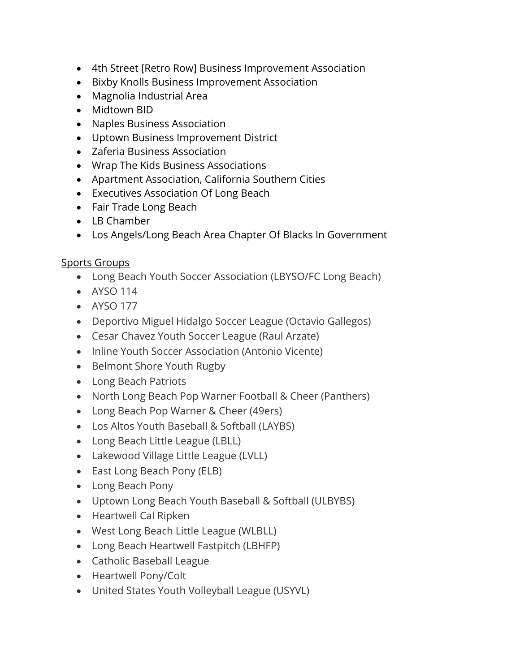- 4th Street [Retro Row] Business Improvement Association
- Bixby Knolls Business Improvement Association
- Magnolia Industrial Area
- Midtown BID
- Naples Business Association
- Uptown Business Improvement District
- Zaferia Business Association
- Wrap The Kids Business Associations
- Apartment Association, California Southern Cities
- Executives Association Of Long Beach
- Fair Trade Long Beach
- LB Chamber
- Los Angels/Long Beach Area Chapter Of Blacks In Government

## Sports Groups

- Long Beach Youth Soccer Association (LBYSO/FC Long Beach)
- AYSO 114
- AYSO 177
- Deportivo Miguel Hidalgo Soccer League (Octavio Gallegos)
- Cesar Chavez Youth Soccer League (Raul Arzate)
- Inline Youth Soccer Association (Antonio Vicente)
- Belmont Shore Youth Rugby
- Long Beach Patriots
- North Long Beach Pop Warner Football & Cheer (Panthers)
- Long Beach Pop Warner & Cheer (49ers)
- Los Altos Youth Baseball & Softball (LAYBS)
- Long Beach Little League (LBLL)
- Lakewood Village Little League (LVLL)
- East Long Beach Pony (ELB)
- Long Beach Pony
- Uptown Long Beach Youth Baseball & Softball (ULBYBS)
- Heartwell Cal Ripken
- West Long Beach Little League (WLBLL)
- Long Beach Heartwell Fastpitch (LBHFP)
- Catholic Baseball League
- Heartwell Pony/Colt
- United States Youth Volleyball League (USYVL)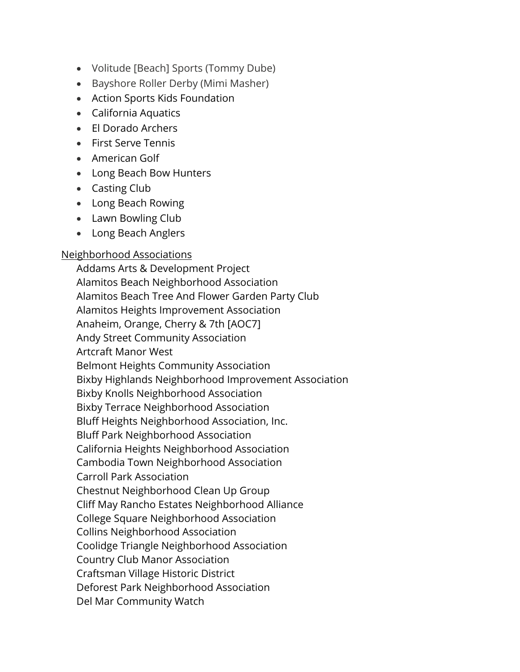- Volitude [Beach] Sports (Tommy Dube)
- Bayshore Roller Derby (Mimi Masher)
- Action Sports Kids Foundation
- California Aquatics
- El Dorado Archers
- First Serve Tennis
- American Golf
- Long Beach Bow Hunters
- Casting Club
- Long Beach Rowing
- Lawn Bowling Club
- Long Beach Anglers

### Neighborhood Associations

Addams Arts & Development Project Alamitos Beach Neighborhood Association Alamitos Beach Tree And Flower Garden Party Club Alamitos Heights Improvement Association Anaheim, Orange, Cherry & 7th [AOC7] Andy Street Community Association Artcraft Manor West Belmont Heights Community Association Bixby Highlands Neighborhood Improvement Association Bixby Knolls Neighborhood Association Bixby Terrace Neighborhood Association Bluff Heights Neighborhood Association, Inc. Bluff Park Neighborhood Association California Heights Neighborhood Association Cambodia Town Neighborhood Association Carroll Park Association Chestnut Neighborhood Clean Up Group Cliff May Rancho Estates Neighborhood Alliance College Square Neighborhood Association Collins Neighborhood Association Coolidge Triangle Neighborhood Association Country Club Manor Association Craftsman Village Historic District Deforest Park Neighborhood Association Del Mar Community Watch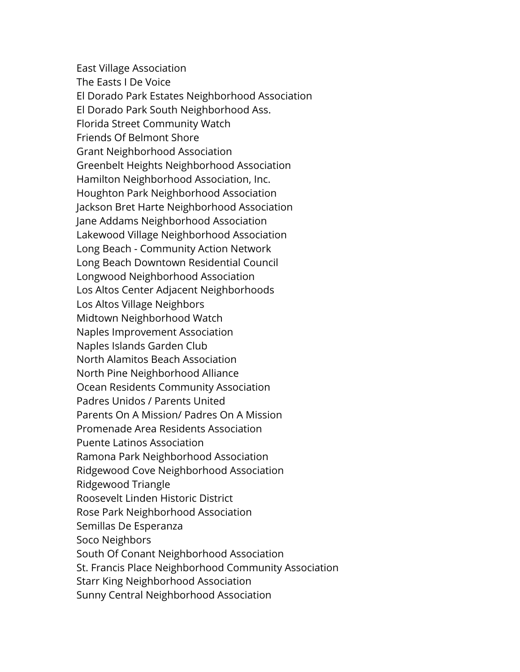East Village Association The Easts I De Voice El Dorado Park Estates Neighborhood Association El Dorado Park South Neighborhood Ass. Florida Street Community Watch Friends Of Belmont Shore Grant Neighborhood Association Greenbelt Heights Neighborhood Association Hamilton Neighborhood Association, Inc. Houghton Park Neighborhood Association Jackson Bret Harte Neighborhood Association Jane Addams Neighborhood Association Lakewood Village Neighborhood Association Long Beach - Community Action Network Long Beach Downtown Residential Council Longwood Neighborhood Association Los Altos Center Adjacent Neighborhoods Los Altos Village Neighbors Midtown Neighborhood Watch Naples Improvement Association Naples Islands Garden Club North Alamitos Beach Association North Pine Neighborhood Alliance Ocean Residents Community Association Padres Unidos / Parents United Parents On A Mission/ Padres On A Mission Promenade Area Residents Association Puente Latinos Association Ramona Park Neighborhood Association Ridgewood Cove Neighborhood Association Ridgewood Triangle Roosevelt Linden Historic District Rose Park Neighborhood Association Semillas De Esperanza Soco Neighbors South Of Conant Neighborhood Association St. Francis Place Neighborhood Community Association Starr King Neighborhood Association Sunny Central Neighborhood Association